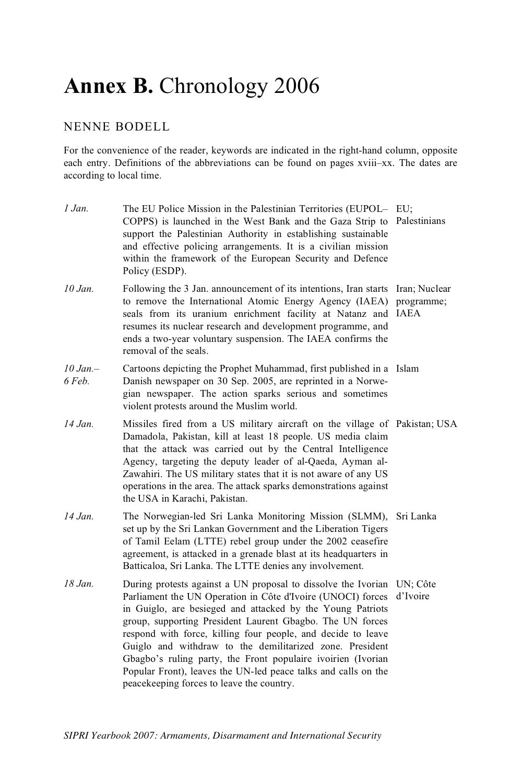# **Annex B.** Chronology 2006

## NENNE BODELL

For the convenience of the reader, keywords are indicated in the right-hand column, opposite each entry. Definitions of the abbreviations can be found on pages xviii–xx. The dates are according to local time.

| 1 Jan.                | The EU Police Mission in the Palestinian Territories (EUPOL- EU;<br>COPPS) is launched in the West Bank and the Gaza Strip to Palestinians<br>support the Palestinian Authority in establishing sustainable<br>and effective policing arrangements. It is a civilian mission<br>within the framework of the European Security and Defence<br>Policy (ESDP).                                                                                                                                                                                                                 |           |
|-----------------------|-----------------------------------------------------------------------------------------------------------------------------------------------------------------------------------------------------------------------------------------------------------------------------------------------------------------------------------------------------------------------------------------------------------------------------------------------------------------------------------------------------------------------------------------------------------------------------|-----------|
| $10$ Jan.             | Following the 3 Jan. announcement of its intentions, Iran starts Iran; Nuclear<br>to remove the International Atomic Energy Agency (IAEA) programme;<br>seals from its uranium enrichment facility at Natanz and IAEA<br>resumes its nuclear research and development programme, and<br>ends a two-year voluntary suspension. The IAEA confirms the<br>removal of the seals.                                                                                                                                                                                                |           |
| $10 Jan. -$<br>6 Feb. | Cartoons depicting the Prophet Muhammad, first published in a Islam<br>Danish newspaper on 30 Sep. 2005, are reprinted in a Norwe-<br>gian newspaper. The action sparks serious and sometimes<br>violent protests around the Muslim world.                                                                                                                                                                                                                                                                                                                                  |           |
| 14 Jan.               | Missiles fired from a US military aircraft on the village of Pakistan; USA<br>Damadola, Pakistan, kill at least 18 people. US media claim<br>that the attack was carried out by the Central Intelligence<br>Agency, targeting the deputy leader of al-Qaeda, Ayman al-<br>Zawahiri. The US military states that it is not aware of any US<br>operations in the area. The attack sparks demonstrations against<br>the USA in Karachi, Pakistan.                                                                                                                              |           |
| 14 Jan.               | The Norwegian-led Sri Lanka Monitoring Mission (SLMM),<br>set up by the Sri Lankan Government and the Liberation Tigers<br>of Tamil Eelam (LTTE) rebel group under the 2002 ceasefire<br>agreement, is attacked in a grenade blast at its headquarters in<br>Batticaloa, Sri Lanka. The LTTE denies any involvement.                                                                                                                                                                                                                                                        | Sri Lanka |
| $18$ . Jan.           | During protests against a UN proposal to dissolve the Ivorian UN; Côte<br>Parliament the UN Operation in Côte d'Ivoire (UNOCI) forces<br>in Guiglo, are besieged and attacked by the Young Patriots<br>group, supporting President Laurent Gbagbo. The UN forces<br>respond with force, killing four people, and decide to leave<br>Guiglo and withdraw to the demilitarized zone. President<br>Gbagbo's ruling party, the Front populaire ivoirien (Ivorian<br>Popular Front), leaves the UN-led peace talks and calls on the<br>peacekeeping forces to leave the country. | d'Ivoire  |
|                       |                                                                                                                                                                                                                                                                                                                                                                                                                                                                                                                                                                             |           |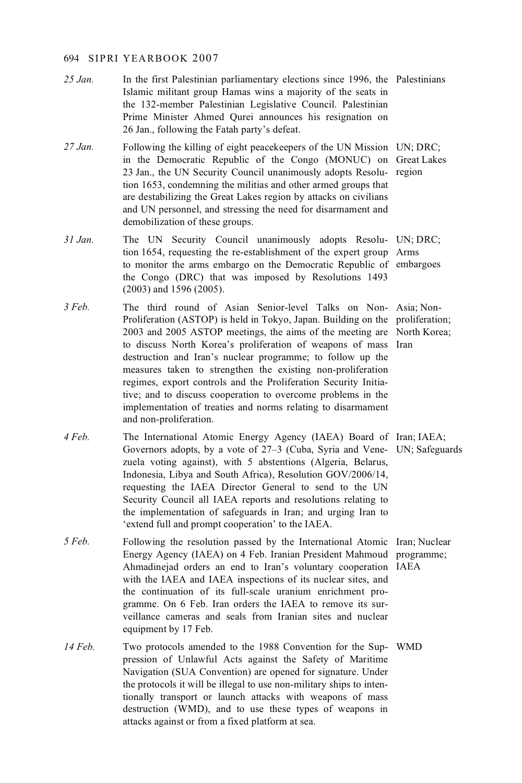- 25 Jan. In the first Palestinian parliamentary elections since 1996, the Palestinians<br>Islamic militant group Hamas wins a majority of the seats in Islamic militant group Hamas wins a majority of the seats in the 132-member Palestinian Legislative Council. Palestinian Prime Minister Ahmed Qurei announces his resignation on 26 Jan., following the Fatah party's defeat.
- *27 Jan.* Following the killing of eight peacekeepers of the UN Mission UN; DRC;<br>in the Democratic Republic of the Congo (MONUC) on Great Lake in the Democratic Republic of the Congo (MONUC) on Great Lakes 23 Jan., the UN Security Council unanimously adopts Resolu-region tion 1653, condemning the militias and other armed groups that are destabilizing the Great Lakes region by attacks on civilians and UN personnel, and stressing the need for disarmament and demobilization of these groups.
- 31 Jan. The UN Security Council unanimously adopts Resolu- UN; DRC;<br>tion 1654 requesting the re-establishment of the expert group Arms tion 1654, requesting the re-establishment of the expert group Arms to monitor the arms embargo on the Democratic Republic of embargoes the Congo (DRC) that was imposed by Resolutions 1493 (2003) and 1596 (2005).
- *3 Feb.* The third round of Asian Senior-level Talks on Non-Asia; Non-<br>Proliferation (ASTOP) is held in Tokyo Japan Building on the proliferation Proliferation (ASTOP) is held in Tokyo, Japan. Building on the proliferation; 2003 and 2005 ASTOP meetings, the aims of the meeting are North Korea; to discuss North Korea's proliferation of weapons of mass Iran destruction and Iran's nuclear programme; to follow up the measures taken to strengthen the existing non-proliferation regimes, export controls and the Proliferation Security Initiative; and to discuss cooperation to overcome problems in the implementation of treaties and norms relating to disarmament and non-proliferation.
- *4 Feb.* The International Atomic Energy Agency (IAEA) Board of Iran; IAEA;<br>
Governors adopts by a vote of 27–3 (Cuba Syria and Vene, IN: Safegua Governors adopts, by a vote of 27–3 (Cuba, Syria and Vene-UN; Safeguards zuela voting against), with 5 abstentions (Algeria, Belarus, Indonesia, Libya and South Africa), Resolution GOV/2006/14, requesting the IAEA Director General to send to the UN Security Council all IAEA reports and resolutions relating to the implementation of safeguards in Iran; and urging Iran to 'extend full and prompt cooperation' to the IAEA.
- *5 Feb.* Following the resolution passed by the International Atomic Iran; Nuclear Francy Agency (IAEA) on *A* Feb. Iranian President Mahmoud programme: Energy Agency (IAEA) on 4 Feb. Iranian President Mahmoud programme; Ahmadinejad orders an end to Iran's voluntary cooperation IAEA with the IAEA and IAEA inspections of its nuclear sites, and the continuation of its full-scale uranium enrichment programme. On 6 Feb. Iran orders the IAEA to remove its surveillance cameras and seals from Iranian sites and nuclear equipment by 17 Feb.
- 14 Feb. Two protocols amended to the 1988 Convention for the Sup-WMD resign of Unlawful Acts against the Safety of Maritime pression of Unlawful Acts against the Safety of Maritime Navigation (SUA Convention) are opened for signature. Under the protocols it will be illegal to use non-military ships to intentionally transport or launch attacks with weapons of mass destruction (WMD), and to use these types of weapons in attacks against or from a fixed platform at sea.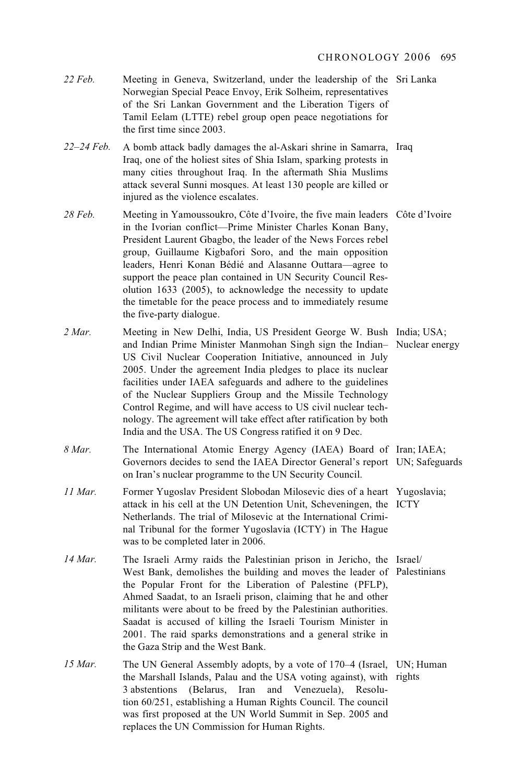- 22 Feb. Meeting in Geneva, Switzerland, under the leadership of the Sri Lanka<br>
Norwegian Special Peace Envoy Frik Solbeim representatives Norwegian Special Peace Envoy, Erik Solheim, representatives of the Sri Lankan Government and the Liberation Tigers of Tamil Eelam (LTTE) rebel group open peace negotiations for the first time since 2003.
- *22–24 Feb.* A bomb attack badly damages the al-Askari shrine in Samarra, Iraq Iraq, one of the holiest sites of Shia Islam, sparking protests in many cities throughout Iraq. In the aftermath Shia Muslims attack several Sunni mosques. At least 130 people are killed or injured as the violence escalates.
- 28 Feb. Meeting in Yamoussoukro, Côte d'Ivoire, the five main leaders Côte d'Ivoire<br>in the Ivorian conflict—Prime Minister Charles Konan Bany in the Ivorian conflict—Prime Minister Charles Konan Bany, President Laurent Gbagbo, the leader of the News Forces rebel group, Guillaume Kigbafori Soro, and the main opposition leaders, Henri Konan Bédié and Alasanne Outtara—agree to support the peace plan contained in UN Security Council Resolution 1633 (2005), to acknowledge the necessity to update the timetable for the peace process and to immediately resume the five-party dialogue.
- *2 Mar.* Meeting in New Delhi, India, US President George W. Bush India; USA;<br>2 and Indian Prime Minister Manmohan Singh sign the Indian- Nuclear ener and Indian Prime Minister Manmohan Singh sign the Indian– Nuclear energy US Civil Nuclear Cooperation Initiative, announced in July 2005. Under the agreement India pledges to place its nuclear facilities under IAEA safeguards and adhere to the guidelines of the Nuclear Suppliers Group and the Missile Technology Control Regime, and will have access to US civil nuclear technology. The agreement will take effect after ratification by both India and the USA. The US Congress ratified it on 9 Dec.
- *8 Mar.* The International Atomic Energy Agency (IAEA) Board of Iran; IAEA;<br>
Governors decides to send the IAEA Director General's report UN: Safegus Governors decides to send the IAEA Director General's report UN; Safeguards on Iran's nuclear programme to the UN Security Council.
- *11 Mar.* Former Yugoslav President Slobodan Milosevic dies of a heart Yugoslavia;<br>
attack in his cell at the UN Detention Unit Scheveningen, the ICTV attack in his cell at the UN Detention Unit, Scheveningen, the ICTY Netherlands. The trial of Milosevic at the International Criminal Tribunal for the former Yugoslavia (ICTY) in The Hague was to be completed later in 2006.
- 14 Mar. The Israeli Army raids the Palestinian prison in Jericho, the Israel/<br>West Bank demolishes the building and moves the leader of Palestin West Bank, demolishes the building and moves the leader of Palestinians the Popular Front for the Liberation of Palestine (PFLP), Ahmed Saadat, to an Israeli prison, claiming that he and other militants were about to be freed by the Palestinian authorities. Saadat is accused of killing the Israeli Tourism Minister in 2001. The raid sparks demonstrations and a general strike in the Gaza Strip and the West Bank.
- 15 Mar. The UN General Assembly adopts, by a vote of 170–4 (Israel, UN; Human the Marchall Islands Palau and the USA voting against) with rights the Marshall Islands, Palau and the USA voting against), with rights 3 abstentions (Belarus, Iran and Venezuela), Resolution 60/251, establishing a Human Rights Council. The council was first proposed at the UN World Summit in Sep. 2005 and replaces the UN Commission for Human Rights.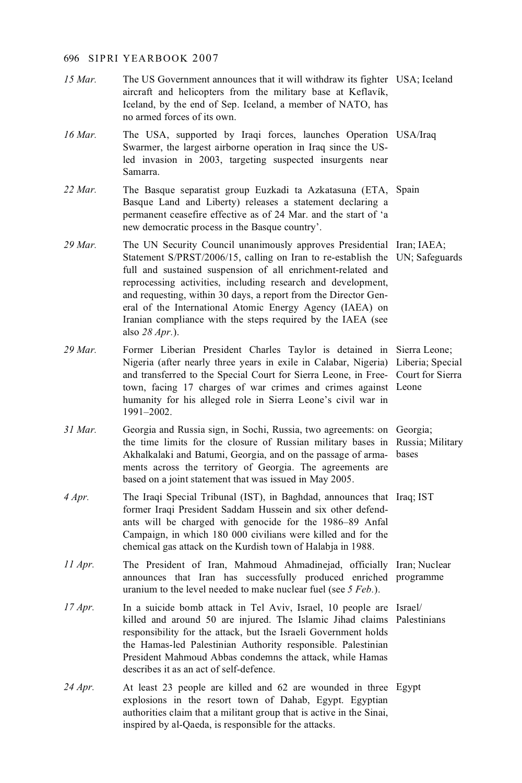- 15 *Mar.* The US Government announces that it will withdraw its fighter USA; Iceland aircraft and helicopters from the military hase at Keflavík aircraft and helicopters from the military base at Keflavík, Iceland, by the end of Sep. Iceland, a member of NATO, has no armed forces of its own.
- 16 Mar. The USA, supported by Iraqi forces, launches Operation USA/Iraq<br>Swarmer the largest airborne operation in Iraq since the US-Swarmer, the largest airborne operation in Iraq since the USled invasion in 2003, targeting suspected insurgents near Samarra.
- 22 Mar. The Basque separatist group Euzkadi ta Azkatasuna (ETA, Spain)<br>Basque Land and Liberty) releases a statement declaring a Basque Land and Liberty) releases a statement declaring a permanent ceasefire effective as of 24 Mar. and the start of 'a new democratic process in the Basque country'.
- 29 Mar. The UN Security Council unanimously approves Presidential Iran; IAEA;<br>Statement S/PRST/2006/15, calling on Iran to re-establish the UN: Safegua Statement S/PRST/2006/15, calling on Iran to re-establish the UN; Safeguards full and sustained suspension of all enrichment-related and reprocessing activities, including research and development, and requesting, within 30 days, a report from the Director General of the International Atomic Energy Agency (IAEA) on Iranian compliance with the steps required by the IAEA (see also *28 Apr.*).
- *29 Mar.* Former Liberian President Charles Taylor is detained in Sierra Leone; Nigeria (after nearly three years in exile in Calabar, Nigeria) Liberia; Special and transferred to the Special Court for Sierra Leone, in Free-Court for Sierra town, facing 17 charges of war crimes and crimes against Leone humanity for his alleged role in Sierra Leone's civil war in 1991–2002.
- *31 Mar.* Georgia and Russia sign, in Sochi, Russia, two agreements: on Georgia;<br>the time limits for the closure of Russian military bases in Russia: N the time limits for the closure of Russian military bases in Russia; Military Akhalkalaki and Batumi, Georgia, and on the passage of arma-bases ments across the territory of Georgia. The agreements are based on a joint statement that was issued in May 2005.
- *4 Apr.* The Iraqi Special Tribunal (IST), in Baghdad, announces that Iraq; IST former Iraqi President Saddam Hussein and six other defend. former Iraqi President Saddam Hussein and six other defendants will be charged with genocide for the 1986–89 Anfal Campaign, in which 180 000 civilians were killed and for the chemical gas attack on the Kurdish town of Halabja in 1988.
- *11 Apr.* The President of Iran, Mahmoud Ahmadinejad, officially Iran; Nuclear announces that Iran has successfully produced enriched programme uranium to the level needed to make nuclear fuel (see *5 Feb.*).
- *17 Apr.* In a suicide bomb attack in Tel Aviv, Israel, 10 people are Israel/<br>
In a suicide bomb attack in Tel Aviv, Israel, 10 people are Israel/ killed and around 50 are injured. The Islamic Jihad claims Palestinians responsibility for the attack, but the Israeli Government holds the Hamas-led Palestinian Authority responsible. Palestinian President Mahmoud Abbas condemns the attack, while Hamas describes it as an act of self-defence.
- 24 Apr. At least 23 people are killed and 62 are wounded in three Egypt explosions in the resort town of Dabab. Eqypt Eqyptian explosions in the resort town of Dahab, Egypt. Egyptian authorities claim that a militant group that is active in the Sinai, inspired by al-Qaeda, is responsible for the attacks.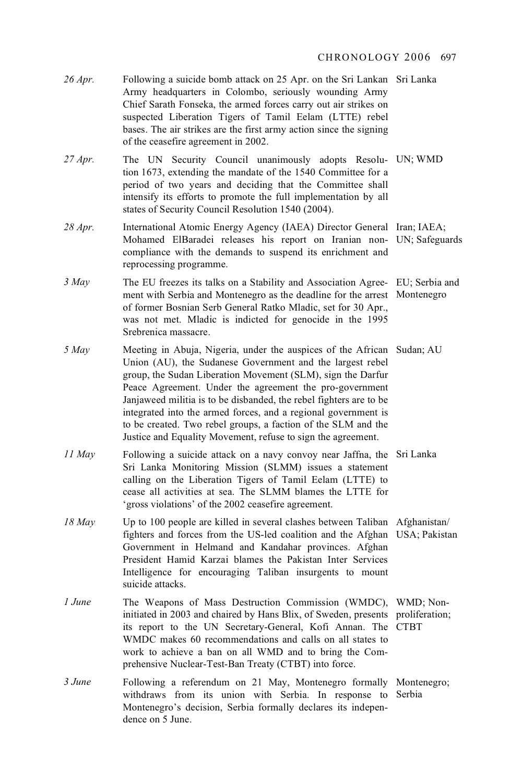26 *Apr.* Following a suicide bomb attack on 25 Apr. on the Sri Lankan Sri Lanka<br>Army headquarters in Colombo, seriously wounding Army Army headquarters in Colombo, seriously wounding Army Chief Sarath Fonseka, the armed forces carry out air strikes on suspected Liberation Tigers of Tamil Eelam (LTTE) rebel bases. The air strikes are the first army action since the signing of the ceasefire agreement in 2002. 27 *Apr*. The UN Security Council unanimously adopts Resolu- UN; WMD tion 1673 extending the mandate of the 1540 Committee for a tion 1673, extending the mandate of the 1540 Committee for a period of two years and deciding that the Committee shall intensify its efforts to promote the full implementation by all states of Security Council Resolution 1540 (2004). 28 *Apr*. International Atomic Energy Agency (IAEA) Director General Iran; IAEA;<br>
Mohamed ElBaradei releases his report on Iranian non. IN: Safegus Mohamed ElBaradei releases his report on Iranian non-UN; Safeguards compliance with the demands to suspend its enrichment and reprocessing programme. *3 May* The EU freezes its talks on a Stability and Association Agree- EU; Serbia and ment with Serbia and Montenegro as the deadline for the arrest. Montenegro ment with Serbia and Montenegro as the deadline for the arrest Montenegro of former Bosnian Serb General Ratko Mladic, set for 30 Apr., was not met. Mladic is indicted for genocide in the 1995 Srebrenica massacre. *5 May* Meeting in Abuja, Nigeria, under the auspices of the African Sudan; AU <br>
Union (AU) the Sudanese Government and the largest rebel Union (AU), the Sudanese Government and the largest rebel group, the Sudan Liberation Movement (SLM), sign the Darfur Peace Agreement. Under the agreement the pro-government Janjaweed militia is to be disbanded, the rebel fighters are to be integrated into the armed forces, and a regional government is to be created. Two rebel groups, a faction of the SLM and the Justice and Equality Movement, refuse to sign the agreement. *11 May* Following a suicide attack on a navy convoy near Jaffna, the Sri Lanka<br>
Sri Lanka Monitoring Mission (SLMM) issues a statement Sri Lanka Monitoring Mission (SLMM) issues a statement calling on the Liberation Tigers of Tamil Eelam (LTTE) to cease all activities at sea. The SLMM blames the LTTE for 'gross violations' of the 2002 ceasefire agreement. 18 *May* Up to 100 people are killed in several clashes between Taliban Afghanistan/<br>
fighters and forces from the US-led coalition and the Afghan USA: Pakista fighters and forces from the US-led coalition and the Afghan USA; Pakistan Government in Helmand and Kandahar provinces. Afghan President Hamid Karzai blames the Pakistan Inter Services Intelligence for encouraging Taliban insurgents to mount suicide attacks. *1 June* The Weapons of Mass Destruction Commission (WMDC), WMD; Non-<br>initiated in 2003 and chaired by Hans Blix of Sweden presents proliferation initiated in 2003 and chaired by Hans Blix, of Sweden, presents proliferation; its report to the UN Secretary-General, Kofi Annan. The CTBT WMDC makes 60 recommendations and calls on all states to work to achieve a ban on all WMD and to bring the Comprehensive Nuclear-Test-Ban Treaty (CTBT) into force. *3 June* Following a referendum on 21 May, Montenegro formally Montenegro;<br>withdraws from its union with Serbia In response to Serbia withdraws from its union with Serbia. In response to Serbia Montenegro's decision, Serbia formally declares its independence on 5 June.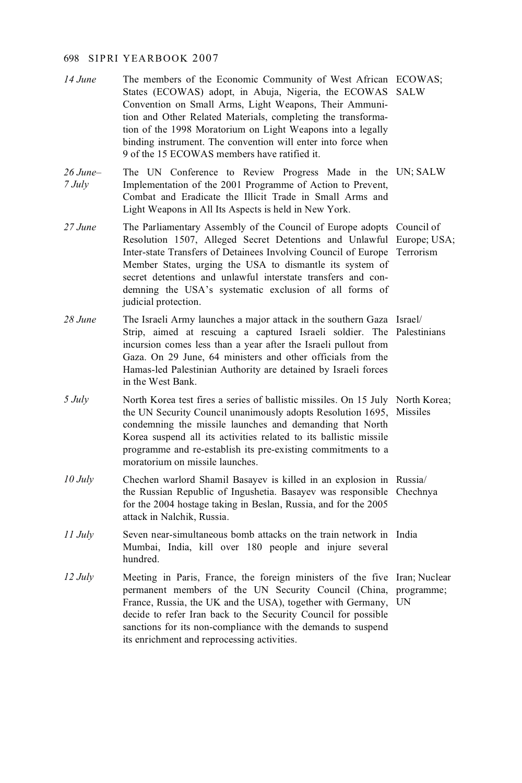- *14 June* The members of the Economic Community of West African ECOWAS;<br>States (ECOWAS) adopt in Abuja Nigeria, the ECOWAS, SAI W States (ECOWAS) adopt, in Abuja, Nigeria, the ECOWAS SALW Convention on Small Arms, Light Weapons, Their Ammunition and Other Related Materials, completing the transformation of the 1998 Moratorium on Light Weapons into a legally binding instrument. The convention will enter into force when 9 of the 15 ECOWAS members have ratified it.
- $26$  June-The UN Conference to Review Progress Made in the UN; SALW *26 June–* Implementation of the 2001 Programme of Action to Prevent, *7 July*  Combat and Eradicate the Illicit Trade in Small Arms and Light Weapons in All Its Aspects is held in New York.
- *27 June* The Parliamentary Assembly of the Council of Europe adopts Council of Resolution 1507 Alleged Secret Detentions and Unlawful Europe US Resolution 1507, Alleged Secret Detentions and Unlawful Europe; USA; Inter-state Transfers of Detainees Involving Council of Europe Terrorism Member States, urging the USA to dismantle its system of secret detentions and unlawful interstate transfers and condemning the USA's systematic exclusion of all forms of judicial protection.
- *28 June* The Israeli Army launches a major attack in the southern Gaza Israel/ Strip, aimed at rescuing a captured Israeli soldier. The Palestinians incursion comes less than a year after the Israeli pullout from Gaza. On 29 June, 64 ministers and other officials from the Hamas-led Palestinian Authority are detained by Israeli forces in the West Bank.
- *5 July* North Korea test fires a series of ballistic missiles. On 15 July North Korea;<br>the UN Security Council unanimously adopts Resolution 1695. Missiles the UN Security Council unanimously adopts Resolution 1695, Missiles condemning the missile launches and demanding that North Korea suspend all its activities related to its ballistic missile programme and re-establish its pre-existing commitments to a moratorium on missile launches.
- *10 July* Chechen warlord Shamil Basayev is killed in an explosion in Russia/<br>the Bussian Benublic of Inqushetia Basayev was responsible Chechn the Russian Republic of Ingushetia. Basayev was responsible Chechnya for the 2004 hostage taking in Beslan, Russia, and for the 2005 attack in Nalchik, Russia.
- *11 July* Seven near-simultaneous bomb attacks on the train network in India<br>
Mumbai India kill over 180 neonle and injure several Mumbai, India, kill over 180 people and injure several hundred.
- *12 July* Meeting in Paris, France, the foreign ministers of the five Iran; Nuclear nermanner members of the UN Security Council (China programme: permanent members of the UN Security Council (China, programme; France, Russia, the UK and the USA), together with Germany, UN decide to refer Iran back to the Security Council for possible sanctions for its non-compliance with the demands to suspend its enrichment and reprocessing activities.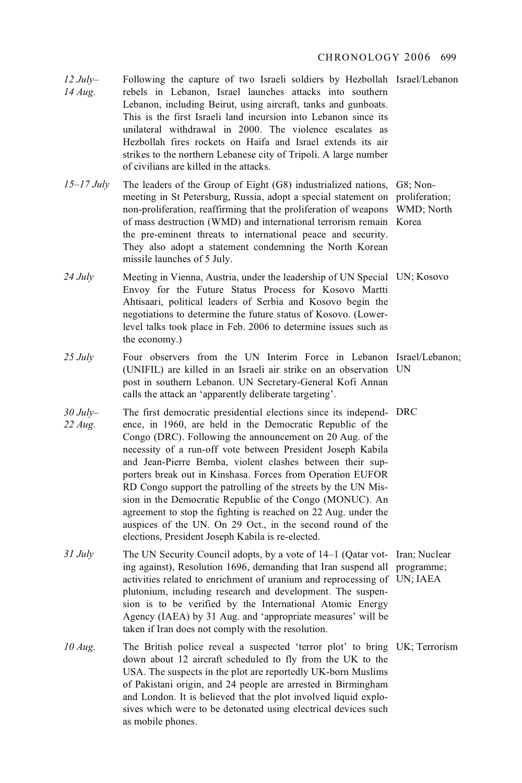- *12 July– 14 Aug.*  Following the capture of two Israeli soldiers by Hezbollah Israel/Lebanon rebels in Lebanon, Israel launches attacks into southern Lebanon, including Beirut, using aircraft, tanks and gunboats. This is the first Israeli land incursion into Lebanon since its unilateral withdrawal in 2000. The violence escalates as Hezbollah fires rockets on Haifa and Israel extends its air strikes to the northern Lebanese city of Tripoli. A large number of civilians are killed in the attacks.
- 15–17 July The leaders of the Group of Eight (G8) industrialized nations, G8; Non-<br>meeting in St Petersburg, Russia, adopt a special statement on proliferat meeting in St Petersburg, Russia, adopt a special statement on proliferation; non-proliferation, reaffirming that the proliferation of weapons WMD; North of mass destruction (WMD) and international terrorism remain Korea the pre-eminent threats to international peace and security. They also adopt a statement condemning the North Korean missile launches of 5 July.
- 24 July Meeting in Vienna, Austria, under the leadership of UN Special UN; Kosovo<br>France Status Process for Kosovo Martti Envoy for the Future Status Process for Kosovo Martti Ahtisaari, political leaders of Serbia and Kosovo begin the negotiations to determine the future status of Kosovo. (Lowerlevel talks took place in Feb. 2006 to determine issues such as the economy.)
- 25 July Four observers from the UN Interim Force in Lebanon Israel/Lebanon;<br>(UNIEU) are killed in an Israeli air strike on an observation UN (UNIFIL) are killed in an Israeli air strike on an observation UN post in southern Lebanon. UN Secretary-General Kofi Annan calls the attack an 'apparently deliberate targeting'.
- $30$  July-The first democratic presidential elections since its independ-DRC *30 July–* ence, in 1960, are held in the Democratic Republic of the *22 Aug.*  Congo (DRC). Following the announcement on 20 Aug. of the necessity of a run-off vote between President Joseph Kabila and Jean-Pierre Bemba, violent clashes between their supporters break out in Kinshasa. Forces from Operation EUFOR RD Congo support the patrolling of the streets by the UN Mission in the Democratic Republic of the Congo (MONUC). An agreement to stop the fighting is reached on 22 Aug. under the auspices of the UN. On 29 Oct., in the second round of the elections, President Joseph Kabila is re-elected.
- *31 July* The UN Security Council adopts, by a vote of 14–1 (Qatar vot-Iran; Nuclear ing against). Becolution 1696, demanding that Iran suspend all programme: ing against), Resolution 1696, demanding that Iran suspend all programme; activities related to enrichment of uranium and reprocessing of UN; IAEA plutonium, including research and development. The suspension is to be verified by the International Atomic Energy Agency (IAEA) by 31 Aug. and 'appropriate measures' will be taken if Iran does not comply with the resolution.
- *10 Aug.* The British police reveal a suspected 'terror plot' to bring UK; Terrorism down about 12 sircraft scheduled to fly from the UK to the down about 12 aircraft scheduled to fly from the UK to the USA. The suspects in the plot are reportedly UK-born Muslims of Pakistani origin, and 24 people are arrested in Birmingham and London. It is believed that the plot involved liquid explosives which were to be detonated using electrical devices such as mobile phones.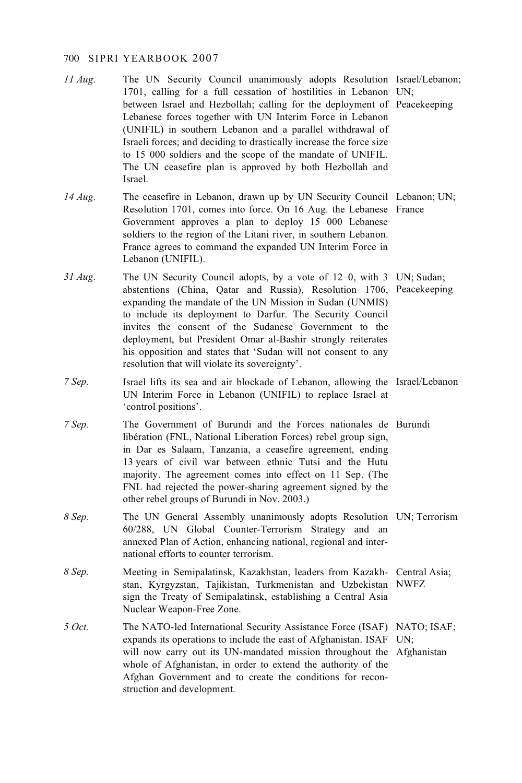- *11 Aug.* The UN Security Council unanimously adopts Resolution Israel/Lebanon;<br>1701 calling for a full cessation of bostilities in Lebanon UN: 1701, calling for a full cessation of hostilities in Lebanon UN; between Israel and Hezbollah; calling for the deployment of Peacekeeping Lebanese forces together with UN Interim Force in Lebanon (UNIFIL) in southern Lebanon and a parallel withdrawal of Israeli forces; and deciding to drastically increase the force size to 15 000 soldiers and the scope of the mandate of UNIFIL. The UN ceasefire plan is approved by both Hezbollah and Israel.
- *14 Aug.* The ceasefire in Lebanon, drawn up by UN Security Council Lebanon; UN;<br>Resolution 1701 comes into force On 16 Aug. the Lebanese, France Resolution 1701, comes into force. On 16 Aug. the Lebanese France Government approves a plan to deploy 15 000 Lebanese soldiers to the region of the Litani river, in southern Lebanon. France agrees to command the expanded UN Interim Force in Lebanon (UNIFIL).
- 31 *Aug.* The UN Security Council adopts, by a vote of 12–0, with 3 UN; Sudan;<br>abstentions (China, Oatar and Bussia), Besolution 1706, Peacekeenin abstentions (China, Qatar and Russia), Resolution 1706, Peacekeeping expanding the mandate of the UN Mission in Sudan (UNMIS) to include its deployment to Darfur. The Security Council invites the consent of the Sudanese Government to the deployment, but President Omar al-Bashir strongly reiterates his opposition and states that 'Sudan will not consent to any resolution that will violate its sovereignty'.
- *7 Sep.* Israel lifts its sea and air blockade of Lebanon, allowing the Israel/Lebanon *I*IN Interim Force in Lebanon *(INIEII)* to replace Israel at UN Interim Force in Lebanon (UNIFIL) to replace Israel at 'control positions'.
- *7 Sep.* The Government of Burundi and the Forces nationales de Burundi libération (FNI National Libération Forces) rebel group sign libération (FNL, National Liberation Forces) rebel group sign, in Dar es Salaam, Tanzania, a ceasefire agreement, ending 13 years of civil war between ethnic Tutsi and the Hutu majority. The agreement comes into effect on 11 Sep. (The FNL had rejected the power-sharing agreement signed by the other rebel groups of Burundi in Nov. 2003.)
- *8 Sep.* The UN General Assembly unanimously adopts Resolution UN; Terrorism 60/288 UN Global Counter Terrorism Strategy and an 60/288, UN Global Counter-Terrorism Strategy and an annexed Plan of Action, enhancing national, regional and international efforts to counter terrorism.
- *8 Sep.* Meeting in Semipalatinsk, Kazakhstan, leaders from Kazakh-Central Asia; stan, Kyrgyzstan, Tajikistan, Turkmenistan and Uzbekistan NWFZ sign the Treaty of Semipalatinsk, establishing a Central Asia Nuclear Weapon-Free Zone.
- *5 Oct.* The NATO-led International Security Assistance Force (ISAF) NATO; ISAF;<br>expands its operations to include the east of Afghanistan ISAF JIN: expands its operations to include the east of Afghanistan. ISAF UN; will now carry out its UN-mandated mission throughout the Afghanistan whole of Afghanistan, in order to extend the authority of the Afghan Government and to create the conditions for reconstruction and development.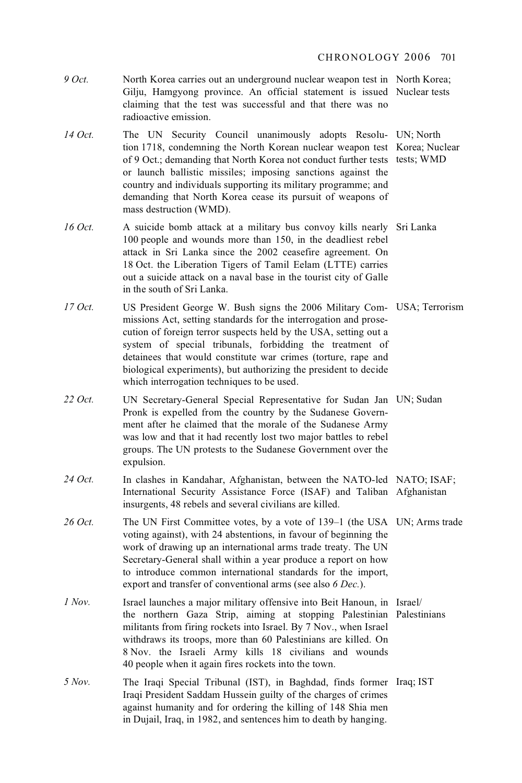CHRONOLOGY 2006 701

- *9 Oct.* North Korea carries out an underground nuclear weapon test in North Korea;<br>Giliu Hamovono province An official statement is issued Nuclear tests Gilju, Hamgyong province. An official statement is issued Nuclear tests claiming that the test was successful and that there was no radioactive emission.
- 14 Oct. The UN Security Council unanimously adopts Resolu- UN; North tion 1718 condemning the North Korean nuclear weapon test Korea: Nuclear tion 1718, condemning the North Korean nuclear weapon test Korea; Nuclear of 9 Oct.; demanding that North Korea not conduct further tests tests; WMD or launch ballistic missiles; imposing sanctions against the country and individuals supporting its military programme; and demanding that North Korea cease its pursuit of weapons of mass destruction (WMD).
- 16 *Oct.* A suicide bomb attack at a military bus convoy kills nearly Sri Lanka<br>100 people and wounds more than 150 in the deadliest rebel 100 people and wounds more than 150, in the deadliest rebel attack in Sri Lanka since the 2002 ceasefire agreement. On 18 Oct. the Liberation Tigers of Tamil Eelam (LTTE) carries out a suicide attack on a naval base in the tourist city of Galle in the south of Sri Lanka.
- 17 Oct. US President George W. Bush signs the 2006 Military Com- USA; Terrorism<br>missions Act setting standards for the interrogation and prosemissions Act, setting standards for the interrogation and prosecution of foreign terror suspects held by the USA, setting out a system of special tribunals, forbidding the treatment of detainees that would constitute war crimes (torture, rape and biological experiments), but authorizing the president to decide which interrogation techniques to be used.
- 22 *Oct.* UN Secretary-General Special Representative for Sudan Jan UN; Sudan Property is expelled from the country by the Sudanese Govern-Pronk is expelled from the country by the Sudanese Government after he claimed that the morale of the Sudanese Army was low and that it had recently lost two major battles to rebel groups. The UN protests to the Sudanese Government over the expulsion.
- 24 *Oct.* In clashes in Kandahar, Afghanistan, between the NATO-led NATO; ISAF;<br>International Security Assistance Force (ISAF) and Taliban, Afghanistan International Security Assistance Force (ISAF) and Taliban Afghanistan insurgents, 48 rebels and several civilians are killed.
- 26 *Oct.* The UN First Committee votes, by a vote of 139–1 (the USA UN; Arms trade voting against), with 24 abstentions in favour of beginning the voting against), with 24 abstentions, in favour of beginning the work of drawing up an international arms trade treaty. The UN Secretary-General shall within a year produce a report on how to introduce common international standards for the import, export and transfer of conventional arms (see also *6 Dec.*).
- *1 Nov.* Israel launches a major military offensive into Beit Hanoun, in Israel/<br>the northern Gaza Strip aiming at stopping Palestinian Palesti the northern Gaza Strip, aiming at stopping Palestinian Palestinians militants from firing rockets into Israel. By 7 Nov., when Israel withdraws its troops, more than 60 Palestinians are killed. On 8 Nov. the Israeli Army kills 18 civilians and wounds 40 people when it again fires rockets into the town.
- *5 Nov.* The Iraqi Special Tribunal (IST), in Baghdad, finds former Iraq; IST Iraqi President Saddam Hussein quilty of the charges of crimes Iraqi President Saddam Hussein guilty of the charges of crimes against humanity and for ordering the killing of 148 Shia men in Dujail, Iraq, in 1982, and sentences him to death by hanging.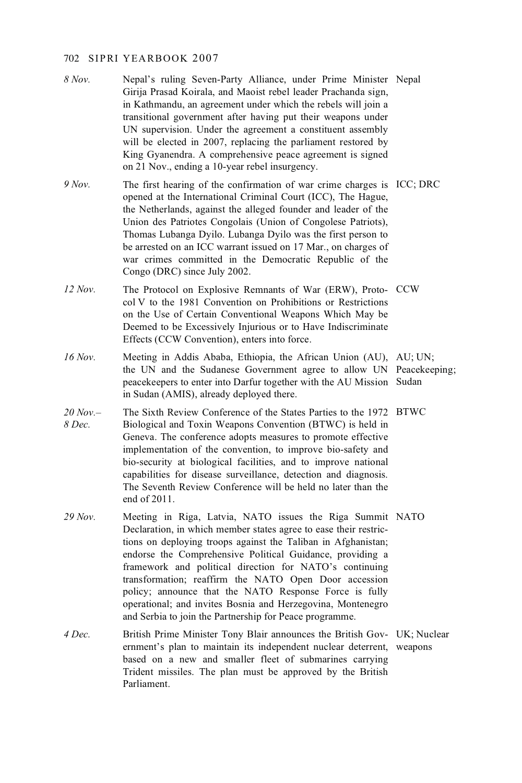- *8 Nov.* Nepal's ruling Seven-Party Alliance, under Prime Minister Nepal Giria Prasad Koirala and Maoist rebel leader Prachanda sign Girija Prasad Koirala, and Maoist rebel leader Prachanda sign, in Kathmandu, an agreement under which the rebels will join a transitional government after having put their weapons under UN supervision. Under the agreement a constituent assembly will be elected in 2007, replacing the parliament restored by King Gyanendra. A comprehensive peace agreement is signed on 21 Nov., ending a 10-year rebel insurgency.
- *9 Nov.* The first hearing of the confirmation of war crime charges is ICC; DRC opened at the International Criminal Court (ICC). The Haque opened at the International Criminal Court (ICC), The Hague, the Netherlands, against the alleged founder and leader of the Union des Patriotes Congolais (Union of Congolese Patriots), Thomas Lubanga Dyilo. Lubanga Dyilo was the first person to be arrested on an ICC warrant issued on 17 Mar., on charges of war crimes committed in the Democratic Republic of the Congo (DRC) since July 2002.
- *12 Nov.* The Protocol on Explosive Remnants of War (ERW), Proto- CCW col V to the 1981 Convention on Prohibitions or Restrictions col V to the 1981 Convention on Prohibitions or Restrictions on the Use of Certain Conventional Weapons Which May be Deemed to be Excessively Injurious or to Have Indiscriminate Effects (CCW Convention), enters into force.
- *16 Nov.* Meeting in Addis Ababa, Ethiopia, the African Union (AU), AU; UN;<br>the UN and the Sudanese Government agree to allow UN Peacekeer the UN and the Sudanese Government agree to allow UN Peacekeeping; peacekeepers to enter into Darfur together with the AU Mission Sudan in Sudan (AMIS), already deployed there.
- $20$  Nov  $-$ The Sixth Review Conference of the States Parties to the 1972 BTWC *20 Nov.–* Biological and Toxin Weapons Convention (BTWC) is held in Geneva. The conference adopts measures to promote effective implementation of the convention, to improve bio-safety and bio-security at biological facilities, and to improve national capabilities for disease surveillance, detection and diagnosis. The Seventh Review Conference will be held no later than the end of 2011.
- 29 Nov. Meeting in Riga, Latvia, NATO issues the Riga Summit NATO Declaration in which member states agree to ease their restrictional Declaration, in which member states agree to ease their restrictions on deploying troops against the Taliban in Afghanistan; endorse the Comprehensive Political Guidance, providing a framework and political direction for NATO's continuing transformation; reaffirm the NATO Open Door accession policy; announce that the NATO Response Force is fully operational; and invites Bosnia and Herzegovina, Montenegro and Serbia to join the Partnership for Peace programme.
- *4 Dec.* British Prime Minister Tony Blair announces the British Gov- UK; Nuclear arrive priment's plan to maintain its independent nuclear determinismus ernment's plan to maintain its independent nuclear deterrent, weapons based on a new and smaller fleet of submarines carrying Trident missiles. The plan must be approved by the British Parliament.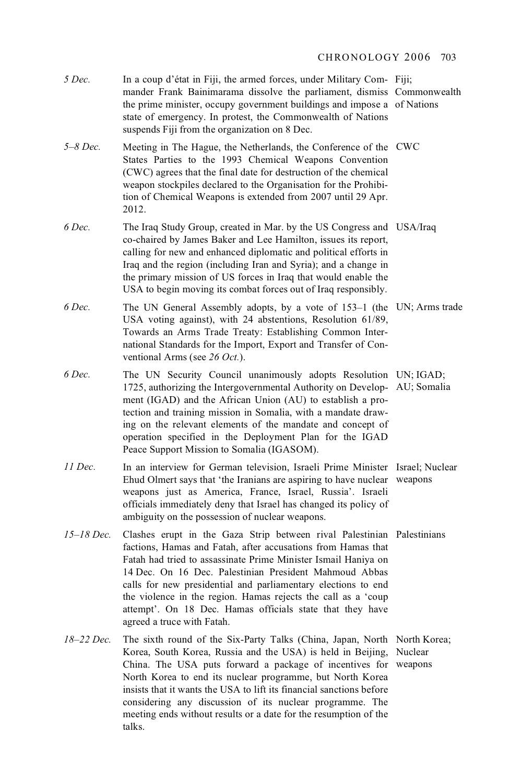| 5 Dec.         | In a coup d'état in Fiji, the armed forces, under Military Com-Fiji;<br>mander Frank Bainimarama dissolve the parliament, dismiss Commonwealth<br>the prime minister, occupy government buildings and impose a of Nations<br>state of emergency. In protest, the Commonwealth of Nations<br>suspends Fiji from the organization on 8 Dec.                                                                                                                                                       |         |
|----------------|-------------------------------------------------------------------------------------------------------------------------------------------------------------------------------------------------------------------------------------------------------------------------------------------------------------------------------------------------------------------------------------------------------------------------------------------------------------------------------------------------|---------|
| $5 - 8$ Dec.   | Meeting in The Hague, the Netherlands, the Conference of the CWC<br>States Parties to the 1993 Chemical Weapons Convention<br>(CWC) agrees that the final date for destruction of the chemical<br>weapon stockpiles declared to the Organisation for the Prohibi-<br>tion of Chemical Weapons is extended from 2007 until 29 Apr.<br>2012.                                                                                                                                                      |         |
| 6 Dec.         | The Iraq Study Group, created in Mar. by the US Congress and USA/Iraq<br>co-chaired by James Baker and Lee Hamilton, issues its report,<br>calling for new and enhanced diplomatic and political efforts in<br>Iraq and the region (including Iran and Syria); and a change in<br>the primary mission of US forces in Iraq that would enable the<br>USA to begin moving its combat forces out of Iraq responsibly.                                                                              |         |
| 6 Dec.         | The UN General Assembly adopts, by a vote of 153–1 (the UN; Arms trade<br>USA voting against), with 24 abstentions, Resolution 61/89,<br>Towards an Arms Trade Treaty: Establishing Common Inter-<br>national Standards for the Import, Export and Transfer of Con-<br>ventional Arms (see 26 Oct.).                                                                                                                                                                                            |         |
| 6 Dec.         | The UN Security Council unanimously adopts Resolution UN; IGAD;<br>1725, authorizing the Intergovernmental Authority on Develop- AU; Somalia<br>ment (IGAD) and the African Union (AU) to establish a pro-<br>tection and training mission in Somalia, with a mandate draw-<br>ing on the relevant elements of the mandate and concept of<br>operation specified in the Deployment Plan for the IGAD<br>Peace Support Mission to Somalia (IGASOM).                                              |         |
| 11 Dec.        | In an interview for German television, Israeli Prime Minister Israel; Nuclear<br>Ehud Olmert says that 'the Iranians are aspiring to have nuclear weapons<br>weapons just as America, France, Israel, Russia'. Israeli<br>officials immediately deny that Israel has changed its policy of<br>ambiguity on the possession of nuclear weapons.                                                                                                                                                   |         |
| $15 - 18$ Dec. | Clashes erupt in the Gaza Strip between rival Palestinian Palestinians<br>factions, Hamas and Fatah, after accusations from Hamas that<br>Fatah had tried to assassinate Prime Minister Ismail Haniya on<br>14 Dec. On 16 Dec. Palestinian President Mahmoud Abbas<br>calls for new presidential and parliamentary elections to end<br>the violence in the region. Hamas rejects the call as a 'coup<br>attempt'. On 18 Dec. Hamas officials state that they have<br>agreed a truce with Fatah. |         |
| 18-22 Dec.     | The sixth round of the Six-Party Talks (China, Japan, North North Korea;<br>Korea, South Korea, Russia and the USA) is held in Beijing,<br>China. The USA puts forward a package of incentives for weapons<br>North Korea to end its nuclear programme, but North Korea<br>insists that it wants the USA to lift its financial sanctions before                                                                                                                                                 | Nuclear |

insists that it wants the USA to lift its financial sanctions before considering any discussion of its nuclear programme. The meeting ends without results or a date for the resumption of the talks.